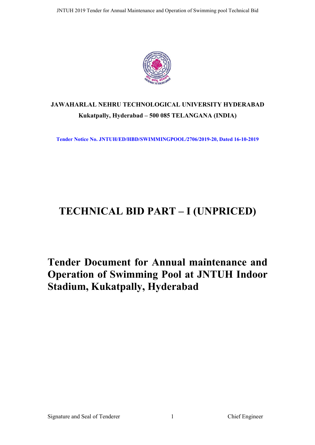

# **JAWAHARLAL NEHRU TECHNOLOGICAL UNIVERSITY HYDERABAD Kukatpally, Hyderabad – 500 085 TELANGANA (INDIA)**

**Tender Notice No. JNTUH/ED/HBD/SWIMMINGPOOL/2706/2019-20, Dated 16-10-2019**

# **TECHNICAL BID PART – I (UNPRICED)**

# **Tender Document for Annual maintenance and Operation of Swimming Pool at JNTUH Indoor Stadium, Kukatpally, Hyderabad**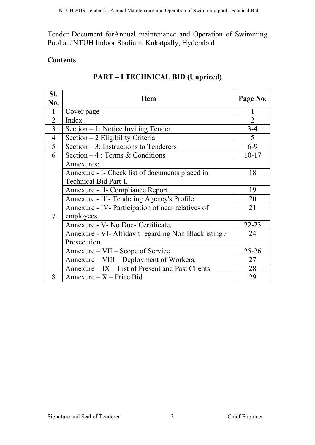Tender Document forAnnual maintenance and Operation of Swimming Pool at JNTUH Indoor Stadium, Kukatpally, Hyderabad

# **Contents**

| SI.            | <b>Item</b>                                                   | Page No.       |
|----------------|---------------------------------------------------------------|----------------|
| No.            |                                                               |                |
| $\mathbf{1}$   | Cover page                                                    | 1              |
| $\overline{2}$ | Index                                                         | $\overline{2}$ |
| $\overline{3}$ | Section $-1$ : Notice Inviting Tender                         | $3 - 4$        |
| $\overline{4}$ | Section $-2$ Eligibility Criteria                             | 5              |
| 5              | Section $-3$ : Instructions to Tenderers                      | $6-9$          |
| 6              | Section $-4$ : Terms & Conditions                             | $10 - 17$      |
|                | Annexures:<br>Annexure - I- Check list of documents placed in | 18             |
|                | <b>Technical Bid Part-I.</b>                                  |                |
|                | Annexure - II- Compliance Report.                             | 19             |
|                | Annexure - III- Tendering Agency's Profile                    | 20             |
|                | Annexure - IV- Participation of near relatives of             | 21             |
| $\tau$         | employees.                                                    |                |
|                | Annexure - V- No Dues Certificate.                            | $22 - 23$      |
|                | Annexure - VI- Affidavit regarding Non Blacklisting /         | 24             |
|                | Prosecution.                                                  |                |
|                | Annexure – VII – Scope of Service.                            | $25 - 26$      |
|                | Annexure – VIII – Deployment of Workers.                      | 27             |
|                | Annexure – IX – List of Present and Past Clients              | 28             |
| 8              | $Annexure - X - Price Bid$                                    | 29             |

# **PART – I TECHNICAL BID (Unpriced)**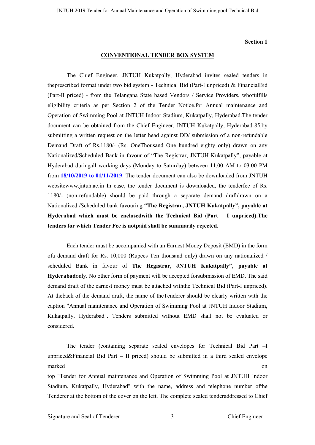#### **Section 1**

#### **CONVENTIONAL TENDER BOX SYSTEM**

The Chief Engineer, JNTUH Kukatpally, Hyderabad invites sealed tenders in theprescribed format under two bid system - Technical Bid (Part-I unpriced) & FinancialBid (Part-II priced) - from the Telangana State based Vendors / Service Providers, whofulfills eligibility criteria as per Section 2 of the Tender Notice,for Annual maintenance and Operation of Swimming Pool at JNTUH Indoor Stadium, Kukatpally, Hyderabad.The tender document can be obtained from the Chief Engineer, JNTUH Kukatpally, Hyderabad-85,by submitting a written request on the letter head against DD/ submission of a non-refundable Demand Draft of Rs.1180/- (Rs. OneThousand One hundred eighty only) drawn on any Nationalized/Scheduled Bank in favour of "The Registrar, JNTUH Kukatpally", payable at Hyderabad duringall working days (Monday to Saturday) between 11.00 AM to 03.00 PM from **18/10/2019 to 01/11/2019**. The tender document can also be downloaded from JNTUH websitewww.jntuh.ac.in In case, the tender document is downloaded, the tenderfee of Rs. 1180/- (non-refundable) should be paid through a separate demand draftdrawn on a Nationalized /Scheduled bank favouring **"The Registrar, JNTUH Kukatpally", payable at Hyderabad which must be enclosedwith the Technical Bid (Part – I unpriced).The tenders for which Tender Fee is notpaid shall be summarily rejected.**

Each tender must be accompanied with an Earnest Money Deposit (EMD) in the form ofa demand draft for Rs. 10,000 (Rupees Ten thousand only) drawn on any nationalized / scheduled Bank in favour of **The Registrar, JNTUH Kukatpally", payable at Hyderabad**only. No other form of payment will be accepted forsubmission of EMD. The said demand draft of the earnest money must be attached withthe Technical Bid (Part-I unpriced). At theback of the demand draft, the name of theTenderer should be clearly written with the caption "Annual maintenance and Operation of Swimming Pool at JNTUH Indoor Stadium, Kukatpally, Hyderabad". Tenders submitted without EMD shall not be evaluated or considered.

The tender (containing separate sealed envelopes for Technical Bid Part –I unpriced&Financial Bid Part – II priced) should be submitted in a third sealed envelope marked on the contract of the contract of the contract of the contract of the contract of the contract of the contract of the contract of the contract of the contract of the contract of the contract of the contract of the top "Tender for Annual maintenance and Operation of Swimming Pool at JNTUH Indoor Stadium, Kukatpally, Hyderabad" with the name, address and telephone number ofthe Tenderer at the bottom of the cover on the left. The complete sealed tenderaddressed to Chief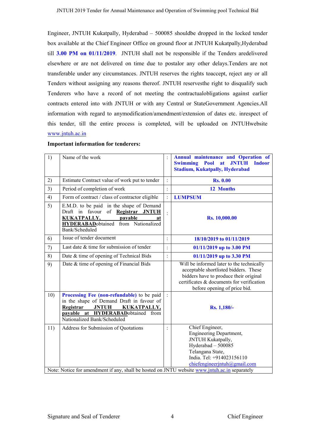Engineer, JNTUH Kukatpally, Hyderabad – 500085 shouldbe dropped in the locked tender box available at the Chief Engineer Office on ground floor at JNTUH Kukatpally,Hyderabad till **3.00 PM on 01/11/2019**. JNTUH shall not be responsible if the Tenders aredelivered elsewhere or are not delivered on time due to postalor any other delays.Tenders are not transferable under any circumstances. JNTUH reserves the rights toaccept, reject any or all Tenders without assigning any reasons thereof. JNTUH reservesthe right to disqualify such Tenderers who have a record of not meeting the contractualobligations against earlier contracts entered into with JNTUH or with any Central or StateGovernment Agencies.All information with regard to anymodification/amendment/extension of dates etc. inrespect of this tender, till the entire process is completed, will be uploaded on JNTUHwebsite www.jntuh.ac.in

| 1)  | Name of the work                                                                                                                                                                                           |                | <b>Annual maintenance and Operation of</b><br><b>Swimming Pool</b><br><b>JNTUH</b><br>at<br><b>Indoor</b><br><b>Stadium, Kukatpally, Hyderabad</b>                                                        |
|-----|------------------------------------------------------------------------------------------------------------------------------------------------------------------------------------------------------------|----------------|-----------------------------------------------------------------------------------------------------------------------------------------------------------------------------------------------------------|
| 2)  | Estimate Contract value of work put to tender                                                                                                                                                              | $\ddot{\cdot}$ | <b>Rs. 0.00</b>                                                                                                                                                                                           |
| 3)  | Period of completion of work                                                                                                                                                                               | $\vdots$       | 12 Months                                                                                                                                                                                                 |
| 4)  | Form of contract / class of contractor eligible                                                                                                                                                            | $\vdots$       | <b>LUMPSUM</b>                                                                                                                                                                                            |
| 5)  | E.M.D. to be paid in the shape of Demand<br>of <b>Registrar</b><br>Draft in favour<br><b>JNTUH</b><br><b>KUKATPALLY,</b><br>pavable<br>at<br><b>HYDERABAD</b> obtained from Nationalized<br>Bank/Scheduled |                | <b>Rs. 10,000.00</b>                                                                                                                                                                                      |
| 6)  | Issue of tender document                                                                                                                                                                                   | $\ddot{\cdot}$ | 18/10/2019 to 01/11/2019                                                                                                                                                                                  |
| 7)  | Last date $&$ time for submission of tender                                                                                                                                                                | $\ddot{\cdot}$ | 01/11/2019 up to 3.00 PM                                                                                                                                                                                  |
| 8)  | Date & time of opening of Technical Bids                                                                                                                                                                   | $\ddot{\cdot}$ | 01/11/2019 up to 3.30 PM                                                                                                                                                                                  |
| 9)  | Date & time of opening of Financial Bids                                                                                                                                                                   |                | Will be informed later to the technically<br>acceptable shortlisted bidders. These<br>bidders have to produce their original<br>certificates & documents for verification<br>before opening of price bid. |
| 10) | Processing Fee (non-refundable) to be paid<br>in the shape of Demand Draft in favour of<br>Registrar<br><b>JNTUH</b><br>KUKATPALLY,<br>payable at HYDERABADobtained from<br>Nationalized Bank/Scheduled    |                | Rs. 1,180/-                                                                                                                                                                                               |
| 11) | Address for Submission of Quotations<br>Note: Notice for amendment if any, shall be hosted on JNTU website www.jntuh.ac.in separately                                                                      | $\ddot{\cdot}$ | Chief Engineer,<br>Engineering Department,<br>JNTUH Kukatpally,<br>Hyderabad - 500085<br>Telangana State,<br>India. Tel: +914023156110<br>chiefengineerjntuh@gmail.com                                    |

**Important information for tenderers:**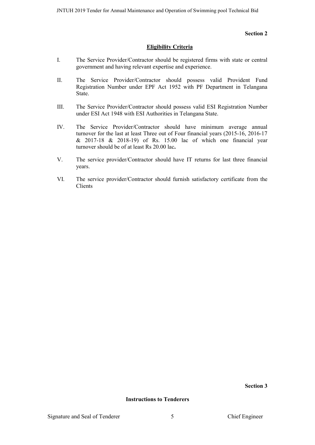#### **Section 2**

#### **Eligibility Criteria**

- I. The Service Provider/Contractor should be registered firms with state or central government and having relevant expertise and experience.
- II. The Service Provider/Contractor should possess valid Provident Fund Registration Number under EPF Act 1952 with PF Department in Telangana State.
- III. The Service Provider/Contractor should possess valid ESI Registration Number under ESI Act 1948 with ESI Authorities in Telangana State.
- IV. The Service Provider/Contractor should have minimum average annual turnover for the last at least Three out of Four financial years (2015-16, 2016-17 & 2017-18 & 2018-19) of Rs. 15.00 lac of which one financial year turnover should be of at least Rs 20.00 lac**.**
- V. The service provider/Contractor should have IT returns for last three financial years.
- VI. The service provider/Contractor should furnish satisfactory certificate from the Clients

**Section 3**

**Instructions to Tenderers**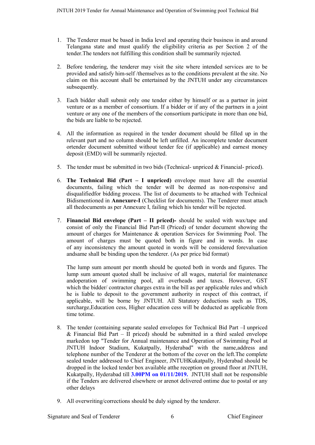- 1. The Tenderer must be based in India level and operating their business in and around Telangana state and must qualify the eligibility criteria as per Section 2 of the tender.The tenders not fulfilling this condition shall be summarily rejected.
- 2. Before tendering, the tenderer may visit the site where intended services are to be provided and satisfy him-self /themselves as to the conditions prevalent at the site. No claim on this account shall be entertained by the JNTUH under any circumstances subsequently.
- 3. Each bidder shall submit only one tender either by himself or as a partner in joint venture or as a member of consortium. If a bidder or if any of the partners in a joint venture or any one of the members of the consortium participate in more than one bid, the bids are liable to be rejected.
- 4. All the information as required in the tender document should be filled up in the relevant part and no column should be left unfilled. An incomplete tender document ortender document submitted without tender fee (if applicable) and earnest money deposit (EMD) will be summarily rejected.
- 5. The tender must be submitted in two bids (Technical- unpriced & Financial- priced).
- 6. **The Technical Bid (Part – I unpriced)** envelope must have all the essential documents, failing which the tender will be deemed as non-responsive and disqualifiedfor bidding process. The list of documents to be attached with Technical Bidismentioned in **Annexure-I** (Checklist for documents). The Tenderer must attach all thedocuments as per Annexure I, failing which his tender will be rejected.
- 7. **Financial Bid envelope (Part – II priced)-** should be sealed with wax/tape and consist of only the Financial Bid Part-II (Priced) of tender document showing the amount of charges for Maintenance & operation Services for Swimming Pool. The amount of charges must be quoted both in figure and in words. In case of any inconsistency the amount quoted in words will be considered forevaluation andsame shall be binding upon the tenderer. (As per price bid format)

The lump sum amount per month should be quoted both in words and figures. The lump sum amount quoted shall be inclusive of all wages, material for maintenance andoperation of swimming pool, all overheads and taxes. However, GST which the bidder/ contractor charges extra in the bill as per applicable rules and which he is liable to deposit to the government authority in respect of this contract, if applicable, will be borne by JNTUH. All Statutory deductions such as TDS, surcharge,Education cess, Higher education cess will be deducted as applicable from time totime.

- 8. The tender (containing separate sealed envelopes for Technical Bid Part –I unpriced & Financial Bid Part – II priced) should be submitted in a third sealed envelope markedon top "Tender for Annual maintenance and Operation of Swimming Pool at JNTUH Indoor Stadium, Kukatpally, Hyderabad" with the name,address and telephone number of the Tenderer at the bottom of the cover on the left.The complete sealed tender addressed to Chief Engineer, JNTUHKukatpally, Hyderabad should be dropped in the locked tender box available atthe reception on ground floor at JNTUH, Kukatpally, Hyderabad till **3.00PM on 01/11/2019.** JNTUH shall not be responsible if the Tenders are delivered elsewhere or arenot delivered ontime due to postal or any other delays
- 9. All overwriting/corrections should be duly signed by the tenderer.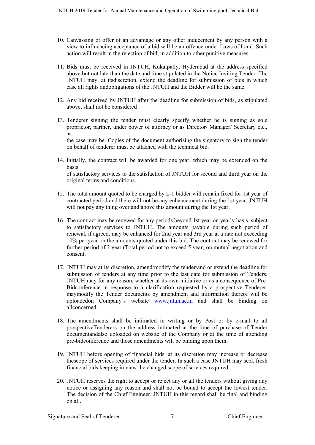- 10. Canvassing or offer of an advantage or any other inducement by any person with a view to influencing acceptance of a bid will be an offence under Laws of Land. Such action will result in the rejection of bid, in addition to other punitive measures.
- 11. Bids must be received in JNTUH, Kukatpally, Hyderabad at the address specified above but not laterthan the date and time stipulated in the Notice Inviting Tender. The JNTUH may, at itsdiscretion, extend the deadline for submission of bids in which case all rights andobligations of the JNTUH and the Bidder will be the same.
- 12. Any bid received by JNTUH after the deadline for submission of bids, as stipulated above, shall not be considered
- 13. Tenderer signing the tender must clearly specify whether he is signing as sole proprietor, partner, under power of attorney or as Director/ Manager/ Secretary etc., as the case may be. Copies of the document authorising the signatory to sign the tender on behalf of tenderer must be attached with the technical bid.
- 14. Initially, the contract will be awarded for one year, which may be extended on the basis of satisfactory services to the satisfaction of JNTUH for second and third year on the original terms and conditions.
- 15. The total amount quoted to be charged by L-1 bidder will remain fixed for 1st year of contracted period and there will not be any enhancement during the 1st year. JNTUH will not pay any thing over and above this amount during the 1st year.
- 16. The contract may be renewed for any periods beyond 1st year on yearly basis, subject to satisfactory services to JNTUH. The amounts payable during such period of renewal, if agreed, may be enhanced for 2nd year and 3rd year at a rate not exceeding 10% per year on the amounts quoted under this bid. The contract may be renewed for further period of 2 year (Total period not to exceed 5 year) on mutual negotiation and consent.
- 17. JNTUH may at its discretion, amend/modify the tender/and or extend the deadline for submission of tenders at any time prior to the last date for submission of Tenders. JNTUH may for any reason, whether at its own initiative or as a consequence of Pre-Bidconference in response to a clarification requested by a prospective Tenderer, maymodify the Tender documents by amendment and information thereof will be uploadedon Company's website www.jntuh.ac.in and shall be binding on allconcerned.
- 18. The amendments shall be intimated in writing or by Post or by e-mail to all prospectiveTenderers on the address intimated at the time of purchase of Tender documentandalso uploaded on website of the Company or at the time of attending pre-bidconference and those amendments will be binding upon them.
- 19. JNTUH before opening of financial bids, at its discretion may increase or decrease thescope of services required under the tender. In such a case JNTUH may seek fresh financial bids keeping in view the changed scope of services required.
- 20. JNTUH reserves the right to accept or reject any or all the tenders without giving any notice or assigning any reason and shall not be bound to accept the lowest tender. The decision of the Chief Engineer, JNTUH in this regard shall be final and binding on all.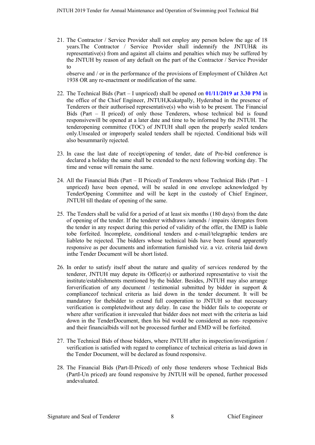21. The Contractor / Service Provider shall not employ any person below the age of 18 years.The Contractor / Service Provider shall indemnify the JNTUH& its representative(s) from and against all claims and penalties which may be suffered by the JNTUH by reason of any default on the part of the Contractor / Service Provider to

observe and / or in the performance of the provisions of Employment of Children Act 1938 OR any re-enactment or modification of the same.

- 22. The Technical Bids (Part I unpriced) shall be opened on **01/11/2019 at 3.30 PM** in the office of the Chief Engineer, JNTUH,Kukatpally, Hyderabad in the presence of Tenderers or their authorised representative(s) who wish to be present. The Financial Bids (Part – II priced) of only those Tenderers, whose technical bid is found responsivewill be opened at a later date and time to be informed by the JNTUH. The tenderopening committee (TOC) of JNTUH shall open the properly sealed tenders only.Unsealed or improperly sealed tenders shall be rejected. Conditional bids will also besummarily rejected.
- 23. In case the last date of receipt/opening of tender, date of Pre-bid conference is declared a holiday the same shall be extended to the next following working day. The time and venue will remain the same.
- 24. All the Financial Bids (Part II Priced) of Tenderers whose Technical Bids (Part I unpriced) have been opened, will be sealed in one envelope acknowledged by TenderOpening Committee and will be kept in the custody of Chief Engineer, JNTUH till thedate of opening of the same.
- 25. The Tenders shall be valid for a period of at least six months (180 days) from the date of opening of the tender. If the tenderer withdraws /amends / impairs /derogates from the tender in any respect during this period of validity of the offer, the EMD is liable tobe forfeited. Incomplete, conditional tenders and e-mail/telegraphic tenders are liableto be rejected. The bidders whose technical bids have been found apparently responsive as per documents and information furnished viz. a viz. criteria laid down inthe Tender Document will be short listed.
- 26. In order to satisfy itself about the nature and quality of services rendered by the tenderer, JNTUH may depute its Officer(s) or authorized representative to visit the institute/establishments mentioned by the bidder. Besides, JNTUH may also arrange forverification of any document / testimonial submitted by bidder in support  $\&$ complianceof technical criteria as laid down in the tender document. It will be mandatory for thebidder to extend full cooperation to JNTUH so that necessary verification is completedwithout any delay. In case the bidder fails to cooperate or where after verification it isrevealed that bidder does not meet with the criteria as laid down in the TenderDocument, then his bid would be considered as non- responsive and their financialbids will not be processed further and EMD will be forfeited.
- 27. The Technical Bids of those bidders, where JNTUH after its inspection/investigation / verification is satisfied with regard to compliance of technical criteria as laid down in the Tender Document, will be declared as found responsive.
- 28. The Financial Bids (Part-II-Priced) of only those tenderers whose Technical Bids (PartI-Un priced) are found responsive by JNTUH will be opened, further processed andevaluated.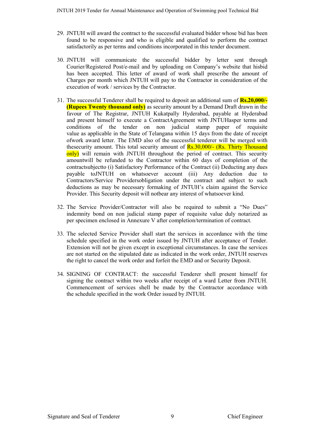- 29. JNTUH will award the contract to the successful evaluated bidder whose bid has been found to be responsive and who is eligible and qualified to perform the contract satisfactorily as per terms and conditions incorporated in this tender document.
- 30. JNTUH will communicate the successful bidder by letter sent through Courier/Registered Post/e-mail and by uploading on Company's website that hisbid has been accepted. This letter of award of work shall prescribe the amount of Charges per month which JNTUH will pay to the Contractor in consideration of the execution of work / services by the Contractor.
- 31. The successful Tenderer shall be required to deposit an additional sum of **Rs.20,000/- (Rupees Twenty thousand only)** as security amount by a Demand Draft drawn in the favour of The Registrar, JNTUH Kukatpally Hyderabad, payable at Hyderabad and present himself to execute a ContractAgreement with JNTUHasper terms and conditions of the tender on non judicial stamp paper of requisite value as applicable in the State of Telangana within 15 days from the date of receipt ofwork award letter. The EMD also of the successful tenderer will be merged with thesecurity amount. This total security amount of Rs.30,000/- (Rs. Thirty Thousand only) will remain with JNTUH throughout the period of contract. This security amountwill be refunded to the Contractor within 60 days of completion of the contractsubjectto (i) Satisfactory Performance of the Contract (ii) Deducting any dues payable toJNTUH on whatsoever account (iii) Any deduction due to Contractors/Service Providersobligation under the contract and subject to such deductions as may be necessary formaking of JNTUH's claim against the Service Provider. This Security deposit will notbear any interest of whatsoever kind.
- 32. The Service Provider/Contractor will also be required to submit a "No Dues" indemnity bond on non judicial stamp paper of requisite value duly notarized as per specimen enclosed in Annexure V after completion/termination of contract.
- 33. The selected Service Provider shall start the services in accordance with the time schedule specified in the work order issued by JNTUH after acceptance of Tender. Extension will not be given except in exceptional circumstances. In case the services are not started on the stipulated date as indicated in the work order, JNTUH reserves the right to cancel the work order and forfeit the EMD and or Security Deposit.
- 34. SIGNING OF CONTRACT: the successful Tenderer shell present himself for signing the contract within two weeks after receipt of a ward Letter from JNTUH. Commencement of services shell be made by the Contractor accordance with the schedule specified in the work Order issued by JNTUH.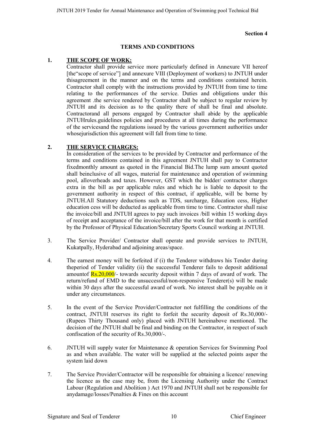#### **Section 4**

### **TERMS AND CONDITIONS**

#### **1. THE SCOPE OF WORK:**

Contractor shall provide service more particularly defined in Annexure VII hereof [the"scope of service"] and annexure VIII (Deployment of workers) to JNTUH under thisagreement in the manner and on the terms and conditions contained herein. Contractor shall comply with the instructions provided by JNTUH from time to time relating to the performances of the service. Duties and obligations under this agreement .the service rendered by Contractor shall be subject to regular review by JNTUH and its decision as to the quality there of shall be final and absolute. Contractorand all persons engaged by Contractor shall abide by the applicable JNTUHrules.guidelines policies and procedures at all times during the performance of the servicesand the regulations issued by the various government authorities under whose jurisdiction this agreement will fall from time to time.

#### **2. THE SERVICE CHARGES:**

In consideration of the services to be provided by Contractor and performance of the terms and conditions contained in this agreement JNTUH shall pay to Contractor fixedmonthly amount as quoted in the Financial Bid.The lump sum amount quoted shall beinclusive of all wages, material for maintenance and operation of swimming pool, alloverheads and taxes. However, GST which the bidder/ contractor charges extra in the bill as per applicable rules and which he is liable to deposit to the government authority in respect of this contract, if applicable, will be borne by JNTUH.All Statutory deductions such as TDS, surcharge, Education cess, Higher education cess will be deducted as applicable from time to time. Contractor shall raise the invoice/bill and JNTUH agrees to pay such invoices /bill within 15 working days of receipt and acceptance of the invoice/bill after the work for that month is certified by the Professor of Physical Education/Secretary Sports Council working at JNTUH.

- 3. The Service Provider/ Contractor shall operate and provide services to JNTUH, Kukatpally, Hyderabad and adjoining areas/space.
- 4. The earnest money will be forfeited if (i) the Tenderer withdraws his Tender during theperiod of Tender validity (ii) the successful Tenderer fails to deposit additional amountof  $\frac{Rs.20,000}{\cdot}$  towards security deposit within 7 days of award of work. The return/refund of EMD to the unsuccessful/non-responsive Tenderer(s) will be made within 30 days after the successful award of work. No interest shall be payable on it under any circumstances.
- 5. In the event of the Service Provider/Contractor not fulfilling the conditions of the contract, JNTUH reserves its right to forfeit the security deposit of Rs.30,000/- (Rupees Thirty Thousand only) placed with JNTUH hereinabove mentioned. The decision of the JNTUH shall be final and binding on the Contractor, in respect of such confiscation of the security of Rs.30,000/-.
- 6. JNTUH will supply water for Maintenance & operation Services for Swimming Pool as and when available. The water will be supplied at the selected points asper the system laid down
- 7. The Service Provider/Contractor will be responsible for obtaining a licence/ renewing the licence as the case may be, from the Licensing Authority under the Contract Labour (Regulation and Abolition ) Act 1970 and JNTUH shall not be responsible for anydamage/losses/Penalties & Fines on this account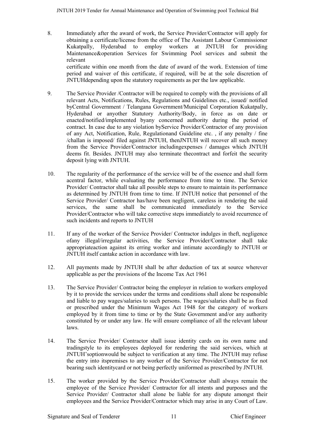- 8. Immediately after the award of work, the Service Provider/Contractor will apply for obtaining a certificate/license from the office of The Assistant Labour Commissioner Kukatpally, Hyderabad to employ workers at JNTUH for providing Maintenance&operation Services for Swimming Pool services and submit the relevant certificate within one month from the date of award of the work. Extension of time period and waiver of this certificate, if required, will be at the sole discretion of JNTUHdepending upon the statutory requirements as per the law applicable.
- 9. The Service Provider /Contractor will be required to comply with the provisions of all relevant Acts, Notifications, Rules, Regulations and Guidelines etc., issued/ notified byCentral Government / Telangana Government/Municipal Corporation Kukatpally, Hyderabad or anyother Statutory Authority/Body, in force as on date or enacted/notified/implemented byany concerned authority during the period of contract. In case due to any violation byService Provider/Contractor of any provision of any Act, Notification, Rule, Regulationand Guideline etc. , if any penalty / fine /challan is imposed/ filed against JNTUH, thenJNTUH will recover all such money from the Service Provider/Contractor includingexpenses / damages which JNTUH deems fit. Besides. JNTUH may also terminate thecontract and forfeit the security deposit lying with JNTUH.
- 10. The regularity of the performance of the service will be of the essence and shall form acentral factor, while evaluating the performance from time to time. The Service Provider/ Contractor shall take all possible steps to ensure to maintain its performance as determined by JNTUH from time to time. If JNTUH notice that personnel of the Service Provider/ Contractor has/have been negligent, careless in rendering the said services, the same shall be communicated immediately to the Service Provider/Contractor who will take corrective steps immediately to avoid recurrence of such incidents and reports to JNTUH
- 11. If any of the worker of the Service Provider/ Contractor indulges in theft, negligence ofany illegal/irregular activities, the Service Provider/Contractor shall take appropriateaction against its erring worker and intimate accordingly to JNTUH or JNTUH itself cantake action in accordance with law.
- 12. All payments made by JNTUH shall be after deduction of tax at source wherever applicable as per the provisions of the Income Tax Act 1961
- 13. The Service Provider/ Contractor being the employer in relation to workers employed by it to provide the services under the terms and conditions shall alone be responsible and liable to pay wages/salaries to such persons. The wages/salaries shall be as fixed or prescribed under the Minimum Wages Act 1948 for the category of workers employed by it from time to time or by the State Government and/or any authority constituted by or under any law. He will ensure compliance of all the relevant labour laws.
- 14. The Service Provider/ Contractor shall issue identity cards on its own name and tradingstyle to its employees deployed for rendering the said services, which at JNTUH'soptionwould be subject to verification at any time. The JNTUH may refuse the entry into itspremises to any worker of the Service Provider/Contractor for not bearing such identitycard or not being perfectly uniformed as prescribed by JNTUH.
- 15. The worker provided by the Service Provider/Contractor shall always remain the employee of the Service Provider/ Contractor for all intents and purposes and the Service Provider/ Contractor shall alone be liable for any dispute amongst their employees and the Service Provider/Contractor which may arise in any Court of Law.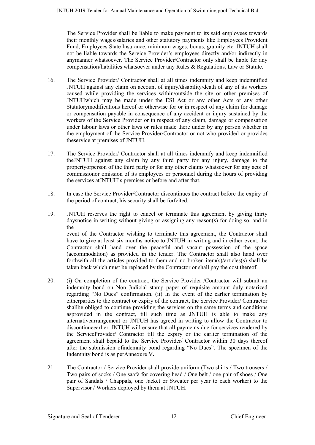The Service Provider shall be liable to make payment to its said employees towards their monthly wages/salaries and other statutory payments like Employees Provident Fund, Employees State Insurance, minimum wages, bonus, gratuity etc. JNTUH shall not be liable towards the Service Provider's employees directly and/or indirectly in anymanner whatsoever. The Service Provider/Contractor only shall be liable for any compensation/liabilities whatsoever under any Rules & Regulations, Law or Statute.

- 16. The Service Provider/ Contractor shall at all times indemnify and keep indemnified JNTUH against any claim on account of injury/disability/death of any of its workers caused while providing the services within/outside the site or other premises of JNTUHwhich may be made under the ESI Act or any other Acts or any other Statutorymodifications hereof or otherwise for or in respect of any claim for damage or compensation payable in consequence of any accident or injury sustained by the workers of the Service Provider or in respect of any claim, damage or compensation under labour laws or other laws or rules made there under by any person whether in the employment of the Service Provider/Contractor or not who provided or provides theservice at premises of JNTUH.
- 17. The Service Provider/ Contractor shall at all times indemnify and keep indemnified theJNTUH against any claim by any third party for any injury, damage to the propertyorperson of the third party or for any other claims whatsoever for any acts of commissionor omission of its employees or personnel during the hours of providing the services atJNTUH's premises or before and after that.
- 18. In case the Service Provider/Contractor discontinues the contract before the expiry of the period of contract, his security shall be forfeited.
- 19. JNTUH reserves the right to cancel or terminate this agreement by giving thirty daysnotice in writing without giving or assigning any reason(s) for doing so, and in the event of the Contractor wishing to terminate this agreement, the Contractor shall have to give at least six months notice to JNTUH in writing and in either event, the Contractor shall hand over the peaceful and vacant possession of the space (accommodation) as provided in the tender. The Contractor shall also hand over forthwith all the articles provided to them and no broken item(s)/articles(s) shall be taken back which must be replaced by the Contractor or shall pay the cost thereof.
- 20. (i) On completion of the contract, the Service Provider /Contractor will submit an indemnity bond on Non Judicial stamp paper of requisite amount duly notarized regarding "No Dues" confirmation. (ii) In the event of the earlier termination by eitherparties to the contract or expiry of the contract, the Service Provider/ Contractor shallbe obliged to continue providing the services on the same terms and conditions asprovided in the contract, till such time as JNTUH is able to make any alternativearrangement or JNTUH has agreed in writing to allow the Contractor to discontinueearlier. JNTUH will ensure that all payments due for services rendered by the ServiceProvider/ Contractor till the expiry or the earlier termination of the agreement shall bepaid to the Service Provider/ Contractor within 30 days thereof after the submission ofindemnity bond regarding "No Dues". The specimen of the Indemnity bond is as perAnnexure V**.**
- 21. The Contractor / Service Provider shall provide uniform (Two shirts / Two trousers / Two pairs of socks / One saafa for covering head / One belt / one pair of shoes / One pair of Sandals / Chappals, one Jacket or Sweater per year to each worker) to the Supervisor / Workers deployed by them at JNTUH.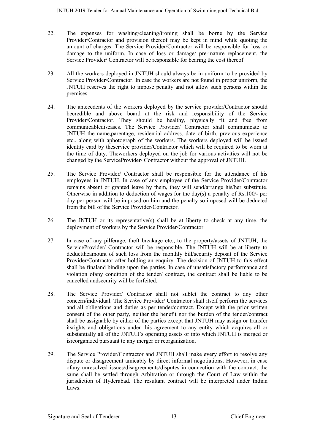- 22. The expenses for washing/cleaning/ironing shall be borne by the Service Provider/Contractor and provision thereof may be kept in mind while quoting the amount of charges. The Service Provider/Contractor will be responsible for loss or damage to the uniform. In case of loss or damage/ pre-mature replacement, the Service Provider/ Contractor will be responsible for bearing the cost thereof.
- 23. All the workers deployed in JNTUH should always be in uniform to be provided by Service Provider/Contractor. In case the workers are not found in proper uniform, the JNTUH reserves the right to impose penalty and not allow such persons within the premises.
- 24. The antecedents of the workers deployed by the service provider/Contractor should becredible and above board at the risk and responsibility of the Service Provider/Contractor. They should be healthy, physically fit and free from communicablediseases. The Service Provider/ Contractor shall communicate to JNTUH the name,parentage, residential address, date of birth, previous experience etc., along with aphotograph of the workers. The workers deployed will be issued identity card by theservice provider/Contractor which will be required to be worn at the time of duty. Theworkers deployed on the job for various activities will not be changed by the ServiceProvider/ Contractor without the approval of JNTUH.
- 25. The Service Provider/ Contractor shall be responsible for the attendance of his employees in JNTUH. In case of any employee of the Service Provider/Contractor remains absent or granted leave by them, they will send/arrange his/her substitute. Otherwise in addition to deduction of wages for the day(s) a penalty of Rs.100/- per day per person will be imposed on him and the penalty so imposed will be deducted from the bill of the Service Provider/Contractor.
- 26. The JNTUH or its representative(s) shall be at liberty to check at any time, the deployment of workers by the Service Provider/Contractor.
- 27. In case of any pilferage, theft breakage etc., to the property/assets of JNTUH, the ServiceProvider/ Contractor will be responsible. The JNTUH will be at liberty to deducttheamount of such loss from the monthly bill/security deposit of the Service Provider/Contractor after holding an enquiry. The decision of JNTUH to this effect shall be finaland binding upon the parties. In case of unsatisfactory performance and violation ofany condition of the tender/ contract, the contract shall be liable to be cancelled andsecurity will be forfeited.
- 28. The Service Provider/ Contractor shall not sublet the contract to any other concern/individual. The Service Provider/ Contractor shall itself perform the services and all obligations and duties as per tender/contract. Except with the prior written consent of the other party, neither the benefit nor the burden of the tender/contract shall be assignable by either of the parties except that JNTUH may assign or transfer itsrights and obligations under this agreement to any entity which acquires all or substantially all of the JNTUH's operating assets or into which JNTUH is merged or isreorganized pursuant to any merger or reorganization.
- 29. The Service Provider/Contractor and JNTUH shall make every effort to resolve any dispute or disagreement amicably by direct informal negotiations. However, in case ofany unresolved issues/disagreements/disputes in connection with the contract, the same shall be settled through Arbitration or through the Court of Law within the jurisdiction of Hyderabad. The resultant contract will be interpreted under Indian Laws.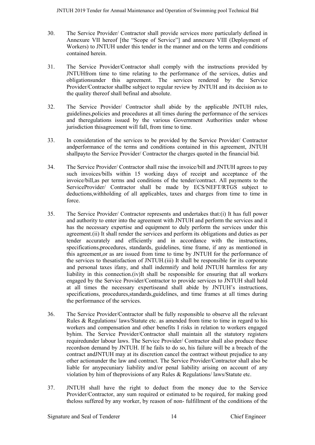- 30. The Service Provider/ Contractor shall provide services more particularly defined in Annexure VII hereof [the "Scope of Service"] and annexure VIII (Deployment of Workers) to JNTUH under this tender in the manner and on the terms and conditions contained herein.
- 31. The Service Provider/Contractor shall comply with the instructions provided by JNTUHfrom time to time relating to the performance of the services, duties and obligationsunder this agreement. The services rendered by the Service Provider/Contractor shallbe subject to regular review by JNTUH and its decision as to the quality thereof shall befinal and absolute.
- 32. The Service Provider/ Contractor shall abide by the applicable JNTUH rules, guidelines,policies and procedures at all times during the performance of the services and theregulations issued by the various Government Authorities under whose jurisdiction thisagreement will fall, from time to time.
- 33. In consideration of the services to be provided by the Service Provider/ Contractor andperformance of the terms and conditions contained in this agreement, JNTUH shallpayto the Service Provider/ Contractor the charges quoted in the financial bid.
- 34. The Service Provider/ Contractor shall raise the invoice/bill and JNTUH agrees to pay such invoices/bills within 15 working days of receipt and acceptance of the invoice/bill,as per terms and conditions of the tender/contract. All payments to the ServiceProvider/ Contractor shall be made by ECS/NEFT/RTGS subject to deductions,withholding of all applicables, taxes and charges from time to time in force.
- 35. The Service Provider/ Contractor represents and undertakes that:(i) It has full power and authority to enter into the agreement with JNTUH and perform the services and it has the necessary expertise and equipment to duly perform the services under this agreement.(ii) It shall render the services and perform its obligations and duties as per tender accurately and efficiently and in accordance with the instructions, specifications,procedures, standards, guidelines, time frame, if any as mentioned in this agreement,or as are issued from time to time by JNTUH for the performance of the services to thesatisfaction of JNTUH.(iii) It shall be responsible for its corporate and personal taxes ifany, and shall indemnify and hold JNTUH harmless for any liability in this connection.(iv)It shall be responsible for ensuring that all workers engaged by the Service Provider/Contractor to provide services to JNTUH shall hold at all times the necessary expertiseand shall abide by JNTUH's instructions, specifications, procedures,standards,guidelines, and time frames at all times during the performance of the services.
- 36. The Service Provider/Contractor shall be fully responsible to observe all the relevant Rules & Regulations/ laws/Statute etc. as amended from time to time in regard to his workers and compensation and other benefits I risks in relation to workers engaged byhim. The Service Provider/Contractor shall maintain all the statutory registers requiredunder labour laws. The Service Provider/ Contractor shall also produce these recordson demand by JNTUH. If he fails to do so, his failure will be a breach of the contract andJNTUH may at its discretion cancel the contract without prejudice to any other actionunder the law and contract. The Service Provider/Contractor shall also be liable for anypecuniary liability and/or penal liability arising on account of any violation by him of theprovisions of any Rules & Regulations/ laws/Statute etc.
- 37. JNTUH shall have the right to deduct from the money due to the Service Provider/Contractor, any sum required or estimated to be required, for making good theloss suffered by any worker, by reason of non- fulfillment of the conditions of the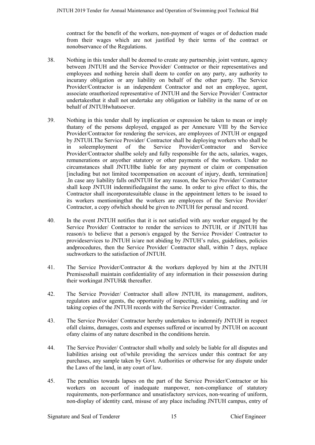contract for the benefit of the workers, non-payment of wages or of deduction made from their wages which are not justified by their terms of the contract or nonobservance of the Regulations.

- 38. Nothing in this tender shall be deemed to create any partnership, joint venture, agency between JNTUH and the Service Provider/ Contractor or their representatives and employees and nothing herein shall deem to confer on any party, any authority to incurany obligation or any liability on behalf of the other party. The Service Provider/Contractor is an independent Contractor and not an employee, agent, associate orauthorized representative of JNTUH and the Service Provider/ Contractor undertakesthat it shall not undertake any obligation or liability in the name of or on behalf of JNTUHwhatsoever.
- 39. Nothing in this tender shall by implication or expression be taken to mean or imply thatany of the persons deployed, engaged as per Annexure VIII by the Service Provider/Contractor for rendering the services, are employees of JNTUH or engaged by JNTUH.The Service Provider/ Contractor shall be deploying workers who shall be in soleemployment of the Service Provider/Contractor and Service Provider/Contractor shallbe solely and fully responsible for the acts, salaries, wages, remunerations or anyother statutory or other payments of the workers. Under no circumstances shall JNTUHbe liable for any payment or claim or compensation [including but not limited tocompensation on account of injury, death, termination] .In case any liability falls onJNTUH for any reason, the Service Provider/ Contractor shall keep JNTUH indemnifiedagainst the same. In order to give effect to this, the Contractor shall incorporatesuitable clause in the appointment letters to be issued to its workers mentioningthat the workers are employees of the Service Provider/ Contractor, a copy ofwhich should be given to JNTUH for perusal and record.
- 40. In the event JNTUH notifies that it is not satisfied with any worker engaged by the Service Provider/ Contractor to render the services to JNTUH, or if JNTUH has reason/s to believe that a person/s engaged by the Service Provider/ Contractor to provideservices to JNTUH is/are not abiding by JNTUH's rules, guidelines, policies andprocedures, then the Service Provider/ Contractor shall, within 7 days, replace suchworkers to the satisfaction of JNTUH.
- 41. The Service Provider/Contractor & the workers deployed by him at the JNTUH Premisesshall maintain confidentiality of any information in their possession during their workingat JNTUH& thereafter.
- 42. The Service Provider/ Contractor shall allow JNTUH, its management, auditors, regulators and/or agents, the opportunity of inspecting, examining, auditing and /or taking copies of the JNTUH records with the Service Provider/ Contractor.
- 43. The Service Provider/ Contractor hereby undertakes to indemnify JNTUH in respect ofall claims, damages, costs and expenses suffered or incurred by JNTUH on account ofany claims of any nature described in the conditions herein.
- 44. The Service Provider/ Contractor shall wholly and solely be liable for all disputes and liabilities arising out of/while providing the services under this contract for any purchases, any sample taken by Govt. Authorities or otherwise for any dispute under the Laws of the land, in any court of law.
- 45. The penalties towards lapses on the part of the Service Provider/Contractor or his workers on account of inadequate manpower, non-compliance of statutory requirements, non-performance and unsatisfactory services, non-wearing of uniform, non-display of identity card, misuse of any place including JNTUH campus, entry of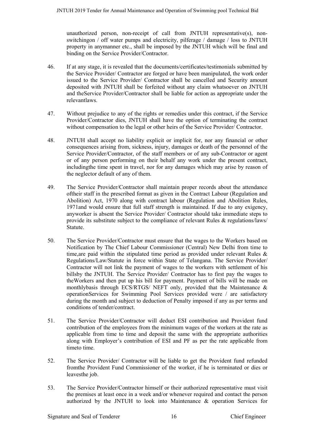unauthorized person, non-receipt of call from JNTUH representative(s), nonswitchingon / off water pumps and electricity, pilferage / damage / loss to JNTUH property in anymanner etc., shall be imposed by the JNTUH which will be final and binding on the Service Provider/Contractor.

- 46. If at any stage, it is revealed that the documents/certificates/testimonials submitted by the Service Provider/ Contractor are forged or have been manipulated, the work order issued to the Service Provider/ Contractor shall be cancelled and Security amount deposited with JNTUH shall be forfeited without any claim whatsoever on JNTUH and theService Provider/Contractor shall be liable for action as appropriate under the relevantlaws.
- 47. Without prejudice to any of the rights or remedies under this contract, if the Service Provider/Contractor dies, JNTUH shall have the option of terminating the contract without compensation to the legal or other heirs of the Service Provider/ Contractor.
- 48. JNTUH shall accept no liability explicit or implicit for, nor any financial or other consequences arising from, sickness, injury, damages or death of the personnel of the Service Provider/Contractor, of the staff members or of any sub-Contractor or agent or of any person performing on their behalf any work under the present contract, includingthe time spent in travel, nor for any damages which may arise by reason of the neglector default of any of them.
- 49. The Service Provider/Contractor shall maintain proper records about the attendance oftheir staff in the prescribed format as given in the Contract Labour (Regulation and Abolition) Act, 1970 along with contract labour (Regulation and Abolition Rules, 1971and would ensure that full staff strength is maintained. If due to any exigency, anyworker is absent the Service Provider/ Contractor should take immediate steps to provide its substitute subject to the compliance of relevant Rules & regulations/laws/ Statute.
- 50. The Service Provider/Contractor must ensure that the wages to the Workers based on Notification by The Chief Labour Commissioner (Central) New Delhi from time to time,are paid within the stipulated time period as provided under relevant Rules & Regulations/Law/Statute in force within State of Telangana. The Service Provider/ Contractor will not link the payment of wages to the workers with settlement of his billsby the JNTUH. The Service Provider/ Contractor has to first pay the wages to theWorkers and then put up his bill for payment. Payment of bills will be made on monthlybasis through ECS/RTGS/ NEFT only, provided that the Maintenance & operationServices for Swimming Pool Services provided were / are satisfactory during the month and subject to deduction of Penalty imposed if any as per terms and conditions of tender/contract.
- 51. The Service Provider/Contractor will deduct ESI contribution and Provident fund contribution of the employees from the minimum wages of the workers at the rate as applicable from time to time and deposit the same with the appropriate authorities along with Employer's contribution of ESI and PF as per the rate applicable from timeto time.
- 52. The Service Provider/ Contractor will be liable to get the Provident fund refunded fromthe Provident Fund Commissioner of the worker, if he is terminated or dies or leavesthe job.
- 53. The Service Provider/Contractor himself or their authorized representative must visit the premises at least once in a week and/or whenever required and contact the person authorized by the JNTUH to look into Maintenance & operation Services for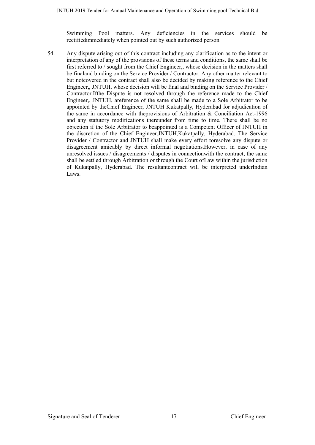Swimming Pool matters. Any deficiencies in the services should be rectifiedimmediately when pointed out by such authorized person.

54. Any dispute arising out of this contract including any clarification as to the intent or interpretation of any of the provisions of these terms and conditions, the same shall be first referred to / sought from the Chief Engineer,, whose decision in the matters shall be finaland binding on the Service Provider / Contractor. Any other matter relevant to but notcovered in the contract shall also be decided by making reference to the Chief Engineer,, JNTUH, whose decision will be final and binding on the Service Provider / Contractor.Ifthe Dispute is not resolved through the reference made to the Chief Engineer,, JNTUH, areference of the same shall be made to a Sole Arbitrator to be appointed by theChief Engineer, JNTUH Kukatpally, Hyderabad for adjudication of the same in accordance with theprovisions of Arbitration & Conciliation Act-1996 and any statutory modifications thereunder from time to time. There shall be no objection if the Sole Arbitrator to beappointed is a Competent Officer of JNTUH in the discretion of the Chief Engineer,JNTUH,Kukatpally, Hyderabad. The Service Provider / Contractor and JNTUH shall make every effort toresolve any dispute or disagreement amicably by direct informal negotiations.However, in case of any unresolved issues / disagreements / disputes in connectionwith the contract, the same shall be settled through Arbitration or through the Court ofLaw within the jurisdiction of Kukatpally, Hyderabad. The resultantcontract will be interpreted underIndian Laws.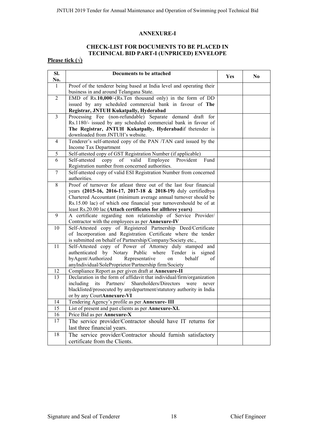#### **ANNEXURE-I**

# **CHECK-LIST FOR DOCUMENTS TO BE PLACED IN TECHNICAL BID PART-I (UNPRICED) ENVELOPE**

#### **Please tick (√)**

| SI.<br>No.      | Documents to be attached                                                                                                         | Yes | N <sub>0</sub> |
|-----------------|----------------------------------------------------------------------------------------------------------------------------------|-----|----------------|
| $\mathbf{1}$    | Proof of the tenderer being based at India level and operating their                                                             |     |                |
|                 | business in and around Telangana State.                                                                                          |     |                |
| $\overline{2}$  | EMD of Rs.10,000/-(Rs.Ten thousand only) in the form of DD                                                                       |     |                |
|                 | issued by any scheduled commercial bank in favour of The                                                                         |     |                |
|                 | Registrar, JNTUH Kukatpally, Hyderabad                                                                                           |     |                |
| $\overline{3}$  | Processing Fee (non-refundable) Separate demand draft for                                                                        |     |                |
|                 | Rs.1180/- issued by any scheduled commercial bank in favour of                                                                   |     |                |
|                 | The Registrar, JNTUH Kukatpally, Hyderabadif thetender is                                                                        |     |                |
|                 | downloaded from JNTUH's website.                                                                                                 |     |                |
| $\overline{4}$  | Tenderer's self-attested copy of the PAN /TAN card issued by the                                                                 |     |                |
|                 | Income Tax Department                                                                                                            |     |                |
| 5               | Self-attested copy of GST Registration Number (if applicable)                                                                    |     |                |
| 6               | Self-attested<br>of<br>Employee<br>Provident<br>Fund<br>copy<br>valid                                                            |     |                |
|                 | Registration number from concerned authorities.                                                                                  |     |                |
| $\overline{7}$  | Self-attested copy of valid ESI Registration Number from concerned                                                               |     |                |
|                 | authorities.                                                                                                                     |     |                |
| 8               | Proof of turnover for atleast three out of the last four financial                                                               |     |                |
|                 | years (2015-16, 2016-17, 2017-18 & 2018-19) duly certifiedbya                                                                    |     |                |
|                 | Chartered Accountant (minimum average annual turnover should be                                                                  |     |                |
|                 | Rs.15.00 lac) of which one financial year turnovershould be of at<br>least Rs.20.00 lac (Attach certificates for allthree years) |     |                |
| 9               | A certificate regarding non relationship of Service Provider/                                                                    |     |                |
|                 | Contractor with the employees as per Annexure-IV                                                                                 |     |                |
| $\overline{10}$ | Self-Attested copy of Registered Partnership Deed/Certificate                                                                    |     |                |
|                 | of Incorporation and Registration Certificate where the tender                                                                   |     |                |
|                 | is submitted on behalf of Partnership/Company/Society etc.,                                                                      |     |                |
| 11              | Self-Attested copy of Power of Attorney duly stamped and                                                                         |     |                |
|                 | authenticated by Notary Public where Tender is signed                                                                            |     |                |
|                 | byAgent/Authorized<br>Representative<br>behalf<br>on<br>of                                                                       |     |                |
|                 | anyIndividual/SoleProprietor/Partnership firm/Society                                                                            |     |                |
| 12              | Compliance Report as per given draft at Annexure-II                                                                              |     |                |
| 13              | Declaration in the form of affidavit that individual/firm/organization                                                           |     |                |
|                 | Shareholders/Directors<br>including<br>Partners/<br>its<br>were<br>never                                                         |     |                |
|                 | blacklisted/prosecuted by anydepartment/statutory authority in India                                                             |     |                |
|                 | or by any CourtAnnexure-VI                                                                                                       |     |                |
| 14              | Tendering Agency's profile as per Annexure-III                                                                                   |     |                |
| $\overline{15}$ | List of present and past clients as per Annexure-XI.                                                                             |     |                |
| 16              | Price Bid as per Annexure-X                                                                                                      |     |                |
| 17              | The service provider/Contractor should have IT returns for                                                                       |     |                |
|                 | last three financial years.                                                                                                      |     |                |
| 18              | The service provider/Contractor should furnish satisfactory                                                                      |     |                |
|                 | certificate from the Clients.                                                                                                    |     |                |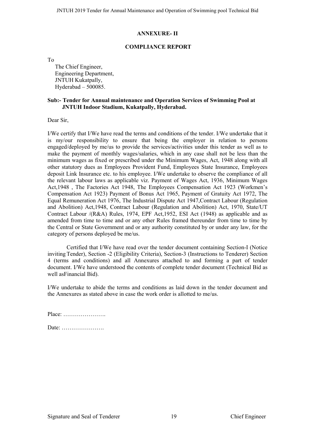#### **ANNEXURE- II**

#### **COMPLIANCE REPORT**

To

The Chief Engineer, Engineering Department, JNTUH Kukatpally, Hyderabad – 500085.

#### **Sub:- Tender for Annual maintenance and Operation Services of Swimming Pool at JNTUH Indoor Stadium, Kukatpally, Hyderabad.**

Dear Sir

I/We certify that I/We have read the terms and conditions of the tender. I/We undertake that it is my/our responsibility to ensure that being the employer in relation to persons engaged/deployed by me/us to provide the services/activities under this tender as well as to make the payment of monthly wages/salaries, which in any case shall not be less than the minimum wages as fixed or prescribed under the Minimum Wages, Act, 1948 along with all other statutory dues as Employees Provident Fund, Employees State Insurance, Employees deposit Link Insurance etc. to his employee. I/We undertake to observe the compliance of all the relevant labour laws as applicable viz. Payment of Wages Act, 1936, Minimum Wages Act,1948 , The Factories Act 1948, The Employees Compensation Act 1923 (Workmen's Compensation Act 1923) Payment of Bonus Act 1965, Payment of Gratuity Act 1972, The Equal Remuneration Act 1976, The Industrial Dispute Act 1947,Contract Labour (Regulation and Abolition) Act,1948, Contract Labour (Regulation and Abolition) Act, 1970, State/UT Contract Labour /(R&A) Rules, 1974, EPF Act,1952, ESI Act (1948) as applicable and as amended from time to time and or any other Rules framed thereunder from time to time by the Central or State Government and or any authority constituted by or under any law, for the category of persons deployed be me/us.

Certified that I/We have read over the tender document containing Section-I (Notice invitingTender), Section -2 (Eligibility Criteria), Section-3 (Instructions to Tenderer) Section 4 (terms and conditions) and all Annexures attached to and forming a part of tender document. I/We have understood the contents of complete tender document (Technical Bid as well asFinancial Bid).

I/We undertake to abide the terms and conditions as laid down in the tender document and the Annexures as stated above in case the work order is allotted to me/us.

| $Place: \ldots \ldots \ldots \ldots \ldots \ldots$ |  |  |  |  |  |  |  |  |  |  |  |
|----------------------------------------------------|--|--|--|--|--|--|--|--|--|--|--|
|                                                    |  |  |  |  |  |  |  |  |  |  |  |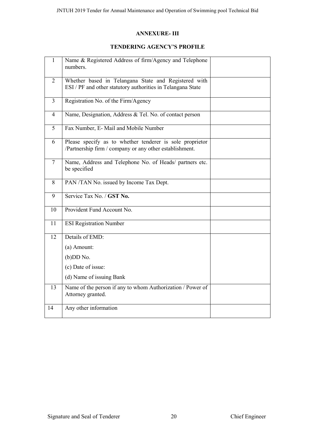## **ANNEXURE- III**

# **TENDERING AGENCY'S PROFILE**

| 1              | Name & Registered Address of firm/Agency and Telephone<br>numbers.                                                  |  |
|----------------|---------------------------------------------------------------------------------------------------------------------|--|
| $\overline{2}$ | Whether based in Telangana State and Registered with<br>ESI / PF and other statutory authorities in Telangana State |  |
| $\overline{3}$ | Registration No. of the Firm/Agency                                                                                 |  |
| 4              | Name, Designation, Address & Tel. No. of contact person                                                             |  |
| 5              | Fax Number, E- Mail and Mobile Number                                                                               |  |
| 6              | Please specify as to whether tenderer is sole proprietor<br>/Partnership firm / company or any other establishment. |  |
| $\overline{7}$ | Name, Address and Telephone No. of Heads/ partners etc.<br>be specified                                             |  |
| 8              | PAN /TAN No. issued by Income Tax Dept.                                                                             |  |
| 9              | Service Tax No. / GST No.                                                                                           |  |
| 10             | Provident Fund Account No.                                                                                          |  |
| 11             | <b>ESI Registration Number</b>                                                                                      |  |
| 12             | Details of EMD:                                                                                                     |  |
|                | (a) Amount:                                                                                                         |  |
|                | $(b)$ DD No.                                                                                                        |  |
|                | (c) Date of issue:                                                                                                  |  |
|                | (d) Name of issuing Bank                                                                                            |  |
| 13             | Name of the person if any to whom Authorization / Power of<br>Attorney granted.                                     |  |
| 14             | Any other information                                                                                               |  |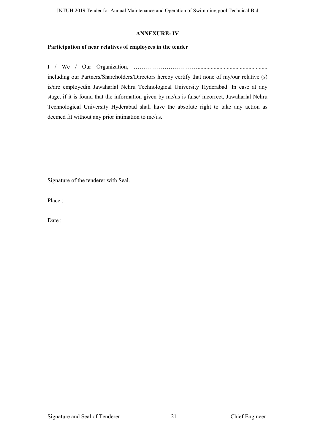#### **ANNEXURE- IV**

## **Participation of near relatives of employees in the tender**

I / We / Our Organization, ……………………………................................................ including our Partners/Shareholders/Directors hereby certify that none of my/our relative (s) is/are employedin Jawaharlal Nehru Technological University Hyderabad. In case at any stage, if it is found that the information given by me/us is false/ incorrect, Jawaharlal Nehru Technological University Hyderabad shall have the absolute right to take any action as deemed fit without any prior intimation to me/us.

Signature of the tenderer with Seal.

Place :

Date: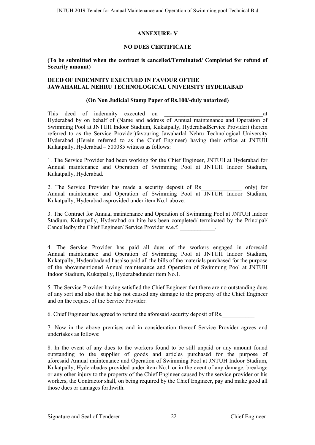#### **ANNEXURE- V**

#### **NO DUES CERTIFICATE**

#### **(To be submitted when the contract is cancelled/Terminated/ Completed for refund of Security amount)**

#### **DEED OF INDEMNITY EXECTUED IN FAVOUR OFTHE JAWAHARLAL NEHRU TECHNOLOGICAL UNIVERSITY HYDERABAD**

#### **(On Non Judicial Stamp Paper of Rs.100/-duly notarized)**

This deed of indemnity executed on the state of the state of  $\alpha$  at Hyderabad by on behalf of (Name and address of Annual maintenance and Operation of Swimming Pool at JNTUH Indoor Stadium, Kukatpally, HyderabadService Provider) (herein referred to as the Service Provider)favouring Jawaharlal Nehru Technological University Hyderabad (Herein referred to as the Chief Engineer) having their office at JNTUH Kukatpally, Hyderabad – 500085 witness as follows:

1. The Service Provider had been working for the Chief Engineer, JNTUH at Hyderabad for Annual maintenance and Operation of Swimming Pool at JNTUH Indoor Stadium, Kukatpally, Hyderabad.

2. The Service Provider has made a security deposit of Rs\_\_\_\_\_\_\_\_\_\_\_\_\_\_ only) for Annual maintenance and Operation of Swimming Pool at JNTUH Indoor Stadium, Kukatpally, Hyderabad asprovided under item No.1 above.

3. The Contract for Annual maintenance and Operation of Swimming Pool at JNTUH Indoor Stadium, Kukatpally, Hyderabad on hire has been completed/ terminated by the Principal/ Cancelledby the Chief Engineer/ Service Provider w.e.f.

4. The Service Provider has paid all dues of the workers engaged in aforesaid Annual maintenance and Operation of Swimming Pool at JNTUH Indoor Stadium, Kukatpally, Hyderabadand hasalso paid all the bills of the materials purchased for the purpose of the abovementioned Annual maintenance and Operation of Swimming Pool at JNTUH Indoor Stadium, Kukatpally, Hyderabadunder item No.1.

5. The Service Provider having satisfied the Chief Engineer that there are no outstanding dues of any sort and also that he has not caused any damage to the property of the Chief Engineer and on the request of the Service Provider.

6. Chief Engineer has agreed to refund the aforesaid security deposit of Rs.\_\_\_\_\_\_\_\_\_\_\_

7. Now in the above premises and in consideration thereof Service Provider agrees and undertakes as follows:

8. In the event of any dues to the workers found to be still unpaid or any amount found outstanding to the supplier of goods and articles purchased for the purpose of aforesaid Annual maintenance and Operation of Swimming Pool at JNTUH Indoor Stadium, Kukatpally, Hyderabadas provided under item No.1 or in the event of any damage, breakage or any other injury to the property of the Chief Engineer caused by the service provider or his workers, the Contractor shall, on being required by the Chief Engineer, pay and make good all those dues or damages forthwith.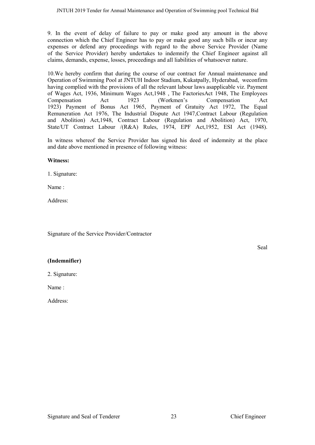9. In the event of delay of failure to pay or make good any amount in the above connection which the Chief Engineer has to pay or make good any such bills or incur any expenses or defend any proceedings with regard to the above Service Provider (Name of the Service Provider) hereby undertakes to indemnify the Chief Engineer against all claims, demands, expense, losses, proceedings and all liabilities of whatsoever nature.

10.We hereby confirm that during the course of our contract for Annual maintenance and Operation of Swimming Pool at JNTUH Indoor Stadium, Kukatpally, Hyderabad, weconfirm having complied with the provisions of all the relevant labour laws asapplicable viz. Payment of Wages Act, 1936, Minimum Wages Act,1948 , The FactoriesAct 1948, The Employees Compensation Act 1923 (Workmen's Compensation Act 1923) Payment of Bonus Act 1965, Payment of Gratuity Act 1972, The Equal Remuneration Act 1976, The Industrial Dispute Act 1947,Contract Labour (Regulation and Abolition) Act,1948, Contract Labour (Regulation and Abolition) Act, 1970, State/UT Contract Labour /(R&A) Rules, 1974, EPF Act,1952, ESI Act (1948).

In witness whereof the Service Provider has signed his deed of indemnity at the place and date above mentioned in presence of following witness:

#### **Witness:**

1. Signature:

Name :

Address:

Signature of the Service Provider/Contractor

Seal

#### **(Indemnifier)**

2. Signature:

Name :

Address: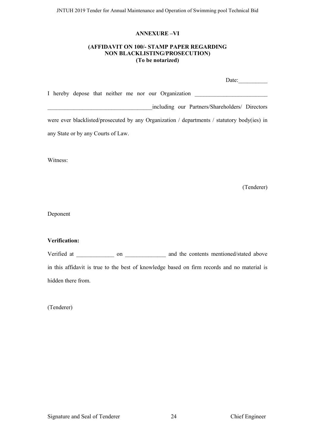#### **ANNEXURE –VI**

#### **(AFFIDAVIT ON 100/- STAMP PAPER REGARDING NON BLACKLISTING/PROSECUTION) (To be notarized)**

| Date:                                                                                       |
|---------------------------------------------------------------------------------------------|
| I hereby depose that neither me nor our Organization                                        |
| including our Partners/Shareholders/ Directors                                              |
| were ever blacklisted/prosecuted by any Organization / departments / statutory body(ies) in |
| any State or by any Courts of Law.                                                          |

Witness:

(Tenderer)

Deponent

### **Verification:**

Verified at \_\_\_\_\_\_\_\_\_\_\_\_\_ on \_\_\_\_\_\_\_\_\_\_\_\_\_ and the contents mentioned/stated above in this affidavit is true to the best of knowledge based on firm records and no material is hidden there from.

(Tenderer)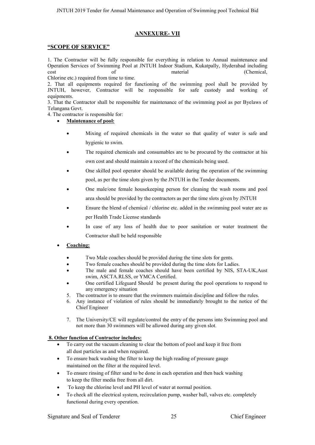#### **ANNEXURE- VII**

#### **"SCOPE OF SERVICE"**

1. The Contractor will be fully responsible for everything in relation to Annual maintenance and Operation Services of Swimming Pool at JNTUH Indoor Stadium, Kukatpally, Hyderabad including cost of material (Chemical,

Chlorine etc.) required from time to time.

2. That all equipments required for functioning of the swimming pool shall be provided by JNTUH, however, Contractor will be responsible for safe custody and working of equipments.

3. That the Contractor shall be responsible for maintenance of the swimming pool as per Byelaws of Telangana Govt.

4. The contractor is responsible for:

**Maintenance of pool:**

- Mixing of required chemicals in the water so that quality of water is safe and hygienic to swim.
- The required chemicals and consumables are to be procured by the contractor at his own cost and should maintain a record of the chemicals being used.
- One skilled pool operator should be available during the operation of the swimming pool, as per the time slots given by the JNTUH in the Tender documents.
- One male/one female housekeeping person for cleaning the wash rooms and pool area should be provided by the contractors as per the time slots given by JNTUH
- Ensure the blend of chemical / chlorine etc. added in the swimming pool water are as per Health Trade License standards
- In case of any loss of health due to poor sanitation or water treatment the Contractor shall be held responsible
- **Coaching:**
	- Two Male coaches should be provided during the time slots for gents.
	- Two female coaches should be provided during the time slots for Ladies.
	- The male and female coaches should have been certified by NIS, STA-UK,Aust swim, ASCTA.RLSS, or YMCA Certified.
	- One certified Lifeguard Should be present during the pool operations to respond to any emergency situation
	- 5. The contractor is to ensure that the swimmers maintain discipline and follow the rules.
	- 6. Any instance of violation of rules should be immediately brought to the notice of the Chief Engineer
	- 7. The University/CE will regulate/control the entry of the persons into Swimming pool and not more than 30 swimmers will be allowed during any given slot.

#### **8. Other function of Contractor includes:**

- To carry out the vacuum cleaning to clear the bottom of pool and keep it free from all dust particles as and when required.
- To ensure back washing the filter to keep the high reading of pressure gauge maintained on the filter at the required level.
- To ensure rinsing of filter sand to be done in each operation and then back washing to keep the filter media free from all dirt.
- To keep the chlorine level and PH level of water at normal position.
- To check all the electrical system, recirculation pump, washer ball, valves etc. completely functional during every operation.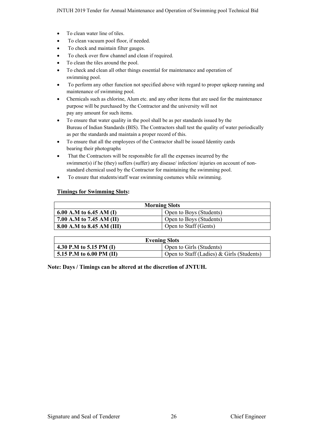- To clean water line of tiles.
- To clean vacuum pool floor, if needed.
- To check and maintain filter gauges.
- To check over flow channel and clean if required.
- To clean the tiles around the pool.
- To check and clean all other things essential for maintenance and operation of swimming pool.
- To perform any other function not specified above with regard to proper upkeep running and maintenance of swimming pool.
- Chemicals such as chlorine, Alum etc. and any other items that are used for the maintenance purpose will be purchased by the Contractor and the university will not pay any amount for such items.
- To ensure that water quality in the pool shall be as per standards issued by the Bureau of Indian Standards (BIS). The Contractors shall test the quality of water periodically as per the standards and maintain a proper record of this.
- To ensure that all the employees of the Contractor shall be issued Identity cards bearing their photographs
- That the Contractors will be responsible for all the expenses incurred by the swimmer(s) if he (they) suffers (suffer) any disease/ infection/ injuries on account of nonstandard chemical used by the Contractor for maintaining the swimming pool.
- To ensure that students/staff wear swimming costumes while swimming.

#### **Timings for Swimming Slots:**

| <b>Morning Slots</b>      |                         |  |  |  |  |
|---------------------------|-------------------------|--|--|--|--|
| 6.00 A.M to 6.45 AM (I)   | Open to Boys (Students) |  |  |  |  |
| 7.00 A.M to 7.45 AM (II)  | Open to Boys (Students) |  |  |  |  |
| 8.00 A.M to 8.45 AM (III) | Open to Staff (Gents)   |  |  |  |  |

| <b>Evening Slots</b>     |                                           |  |  |  |  |
|--------------------------|-------------------------------------------|--|--|--|--|
| 4.30 P.M to 5.15 PM (I)  | Open to Girls (Students)                  |  |  |  |  |
| 5.15 P.M to 6.00 PM (II) | Open to Staff (Ladies) & Girls (Students) |  |  |  |  |

**Note: Days / Timings can be altered at the discretion of JNTUH.**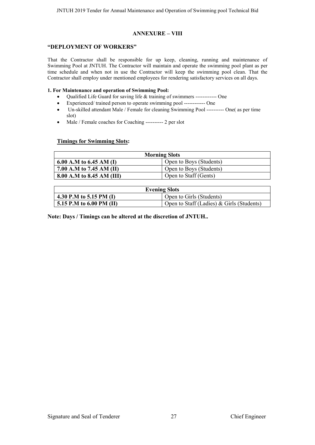#### **ANNEXURE – VIII**

#### **"DEPLOYMENT OF WORKERS"**

That the Contractor shall be responsible for up keep, cleaning, running and maintenance of Swimming Pool at JNTUH. The Contractor will maintain and operate the swimming pool plant as per time schedule and when not in use the Contractor will keep the swimming pool clean. That the Contractor shall employ under mentioned employees for rendering satisfactory services on all days.

#### **1. For Maintenance and operation of Swimming Pool:**

- Oualified Life Guard for saving life & training of swimmers ------------ One
- Experienced/ trained person to operate swimming pool ------------ One
- Un-skilled attendant Male / Female for cleaning Swimming Pool ---------- One( as per time slot)
- Male / Female coaches for Coaching ---------- 2 per slot

#### **Timings for Swimming Slots:**

| <b>Morning Slots</b>      |                         |  |  |  |  |
|---------------------------|-------------------------|--|--|--|--|
| 6.00 A.M to 6.45 AM (I)   | Open to Boys (Students) |  |  |  |  |
| 7.00 A.M to 7.45 AM (II)  | Open to Boys (Students) |  |  |  |  |
| 8.00 A.M to 8.45 AM (III) | Open to Staff (Gents)   |  |  |  |  |

| <b>Evening Slots</b>                   |                                             |  |  |  |  |  |
|----------------------------------------|---------------------------------------------|--|--|--|--|--|
| 4.30 P.M to 5.15 PM (I)                | Open to Girls (Students)                    |  |  |  |  |  |
| $\frac{1}{2}$ 5.15 P.M to 6.00 PM (II) | Open to Staff (Ladies) $&$ Girls (Students) |  |  |  |  |  |

**Note: Days / Timings can be altered at the discretion of JNTUH..**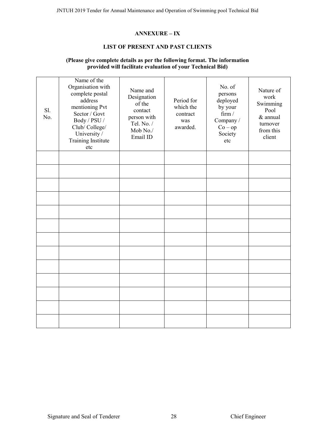## **ANNEXURE – IX**

#### **LIST OF PRESENT AND PAST CLIENTS**

#### **(Please give complete details as per the following format. The information provided will facilitate evaluation of your Technical Bid)**

| Sl.<br>No. | Name of the<br>Organisation with<br>complete postal<br>address<br>mentioning Pvt<br>Sector / Govt<br>Body / PSU /<br>Club/College/<br>University /<br><b>Training Institute</b><br>etc | Name and<br>Designation<br>of the<br>contact<br>person with<br>Tel. No. /<br>Mob No./<br>Email ID | Period for<br>which the<br>contract<br>was<br>awarded. | No. of<br>persons<br>deployed<br>by your<br>firm /<br>Company /<br>$Co - op$<br>Society<br>etc | Nature of<br>work<br>Swimming<br>Pool<br>$&$ annual<br>turnover<br>from this<br>client |
|------------|----------------------------------------------------------------------------------------------------------------------------------------------------------------------------------------|---------------------------------------------------------------------------------------------------|--------------------------------------------------------|------------------------------------------------------------------------------------------------|----------------------------------------------------------------------------------------|
|            |                                                                                                                                                                                        |                                                                                                   |                                                        |                                                                                                |                                                                                        |
|            |                                                                                                                                                                                        |                                                                                                   |                                                        |                                                                                                |                                                                                        |
|            |                                                                                                                                                                                        |                                                                                                   |                                                        |                                                                                                |                                                                                        |
|            |                                                                                                                                                                                        |                                                                                                   |                                                        |                                                                                                |                                                                                        |
|            |                                                                                                                                                                                        |                                                                                                   |                                                        |                                                                                                |                                                                                        |
|            |                                                                                                                                                                                        |                                                                                                   |                                                        |                                                                                                |                                                                                        |
|            |                                                                                                                                                                                        |                                                                                                   |                                                        |                                                                                                |                                                                                        |
|            |                                                                                                                                                                                        |                                                                                                   |                                                        |                                                                                                |                                                                                        |
|            |                                                                                                                                                                                        |                                                                                                   |                                                        |                                                                                                |                                                                                        |
|            |                                                                                                                                                                                        |                                                                                                   |                                                        |                                                                                                |                                                                                        |
|            |                                                                                                                                                                                        |                                                                                                   |                                                        |                                                                                                |                                                                                        |
|            |                                                                                                                                                                                        |                                                                                                   |                                                        |                                                                                                |                                                                                        |
|            |                                                                                                                                                                                        |                                                                                                   |                                                        |                                                                                                |                                                                                        |